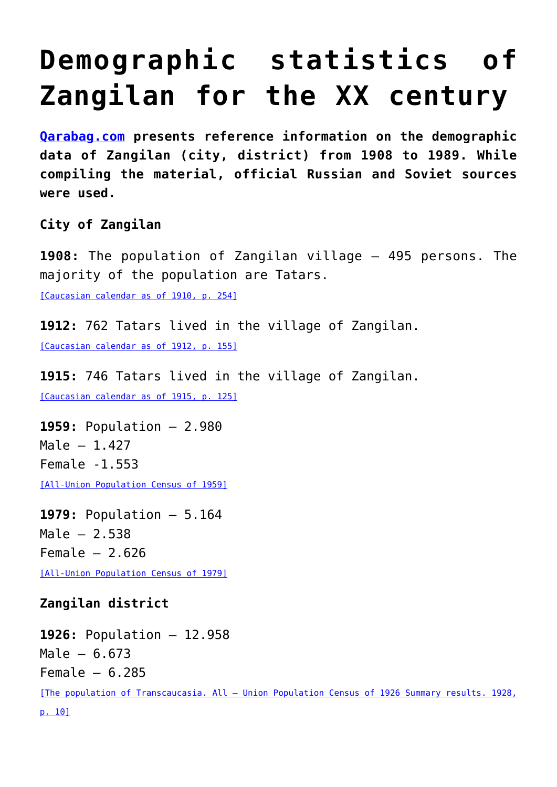## **[Demographic statistics of](https://qarabag.com/demographic-statistics-of-zangilan-for-the-xx-century/) [Zangilan for the XX century](https://qarabag.com/demographic-statistics-of-zangilan-for-the-xx-century/)**

**[Qarabag.com](https://qarabag.com/) presents reference information on the demographic data of Zangilan (city, district) from 1908 to 1989. While compiling the material, official Russian and Soviet sources were used.**

**City of Zangilan**

**1908:** The population of Zangilan village – 495 persons. The majority of the population are Tatars.

[\[Caucasian calendar as of 1910, p. 254\]](https://qarabag.com/wp-content/uploads/2022/04/%D0%9A%D0%B0%D0%B2%D0%BA%D0%B0%D0%B7%D1%81%D0%BA%D0%B8%D0%B9_%D0%BA%D0%B0%D0%BB%D0%B5%D0%BD%D0%B4%D0%B0%D1%80%D1%8C_%D0%A2%D0%B5%D0%BA%D1%81%D1%82_%D0%BD%D0%B0_1910_%D0%B3%D0%BE%D0%B4-1.pdf)

**1912:** 762 Tatars lived in the village of Zangilan. [\[Caucasian calendar as of 1912, p. 155\]](https://qarabag.com/wp-content/uploads/2022/04/%D0%9A%D0%B0%D0%B2%D0%BA%D0%B0%D0%B7%D1%81%D0%BA%D0%B8%D0%B9_%D0%BA%D0%B0%D0%BB%D0%B5%D0%BD%D0%B4%D0%B0%D1%80%D1%8C_%D0%A2%D0%B5%D0%BA%D1%81%D1%82_%D0%BD%D0%B0_1912_%D0%B3%D0%BE%D0%B4.pdf)

**1915:** 746 Tatars lived in the village of Zangilan. [\[Caucasian calendar as of 1915, p. 125\]](https://qarabag.com/wp-content/uploads/2022/04/%D0%9A%D0%B0%D0%B2%D0%BA%D0%B0%D0%B7%D1%81%D0%BA%D0%B8%D0%B9_%D0%BA%D0%B0%D0%BB%D0%B5%D0%BD%D0%B4%D0%B0%D1%80%D1%8C_%D0%A2%D0%B5%D0%BA%D1%81%D1%82_%D0%BD%D0%B0_1915_%D0%B3%D0%BE%D0%B4.pdf)

**1959:** Population – 2.980 Male  $-1.427$ Female -1.553 [\[All-Union Population Census of 1959\]](http://www.demoscope.ru/weekly/ssp/ussr59_reg2.php)

**1979:** Population – 5.164 Male – 2.538 Female  $-2.626$ 

[\[All-Union Population Census of 1979\]](http://www.demoscope.ru/weekly/ssp/ussr79_reg2.php)

## **Zangilan district**

**1926:** Population – 12.958 Male – 6.673  $Female - 6.285$ [\[The population of Transcaucasia. All – Union Population Census of 1926 Summary results. 1928,](https://qarabag.com/wp-content/uploads/2022/04/%D0%9A%D0%B0%D0%B2%D0%BA%D0%B0%D0%B7%D1%81%D0%BA%D0%B8%D0%B9_%D0%BA%D0%B0%D0%BB%D0%B5%D0%BD%D0%B4%D0%B0%D1%80%D1%8C_%D0%A2%D0%B5%D0%BA%D1%81%D1%82_%D0%BD%D0%B0_1915_%D0%B3%D0%BE%D0%B4.pdf) [p. 10\]](https://qarabag.com/wp-content/uploads/2022/04/%D0%9A%D0%B0%D0%B2%D0%BA%D0%B0%D0%B7%D1%81%D0%BA%D0%B8%D0%B9_%D0%BA%D0%B0%D0%BB%D0%B5%D0%BD%D0%B4%D0%B0%D1%80%D1%8C_%D0%A2%D0%B5%D0%BA%D1%81%D1%82_%D0%BD%D0%B0_1915_%D0%B3%D0%BE%D0%B4.pdf)